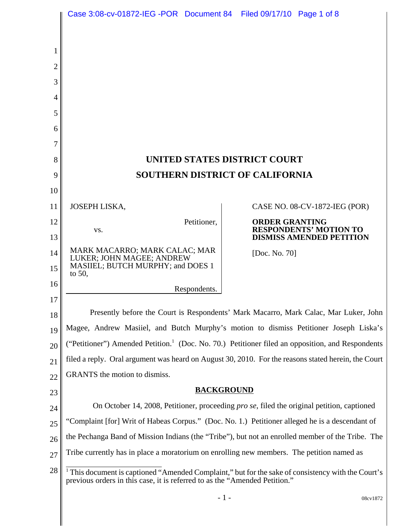|    | Case 3:08-cv-01872-IEG -POR Document 84 Filed 09/17/10 Page 1 of 8                                                                                                                          |                       |                                 |
|----|---------------------------------------------------------------------------------------------------------------------------------------------------------------------------------------------|-----------------------|---------------------------------|
|    |                                                                                                                                                                                             |                       |                                 |
| 1  |                                                                                                                                                                                             |                       |                                 |
| 2  |                                                                                                                                                                                             |                       |                                 |
| 3  |                                                                                                                                                                                             |                       |                                 |
| 4  |                                                                                                                                                                                             |                       |                                 |
| 5  |                                                                                                                                                                                             |                       |                                 |
| 6  |                                                                                                                                                                                             |                       |                                 |
| 7  |                                                                                                                                                                                             |                       |                                 |
| 8  | UNITED STATES DISTRICT COURT                                                                                                                                                                |                       |                                 |
| 9  | <b>SOUTHERN DISTRICT OF CALIFORNIA</b>                                                                                                                                                      |                       |                                 |
| 10 |                                                                                                                                                                                             |                       |                                 |
| 11 | JOSEPH LISKA,                                                                                                                                                                               |                       | CASE NO. 08-CV-1872-IEG (POR)   |
| 12 | Petitioner,<br>VS.                                                                                                                                                                          | <b>ORDER GRANTING</b> | <b>RESPONDENTS' MOTION TO</b>   |
| 13 |                                                                                                                                                                                             |                       | <b>DISMISS AMENDED PETITION</b> |
| 14 | MARK MACARRO; MARK CALAC; MAR<br>LUKER; JOHN MAGEE; ANDREW                                                                                                                                  | [Doc. No. 70]         |                                 |
| 15 | MASIIEL; BUTCH MURPHY; and DOES 1<br>to $50$ ,                                                                                                                                              |                       |                                 |
| 16 | Respondents.                                                                                                                                                                                |                       |                                 |
| 17 |                                                                                                                                                                                             |                       |                                 |
| 18 | Presently before the Court is Respondents' Mark Macarro, Mark Calac, Mar Luker, John                                                                                                        |                       |                                 |
| 19 | Magee, Andrew Masiiel, and Butch Murphy's motion to dismiss Petitioner Joseph Liska's                                                                                                       |                       |                                 |
| 20 | ("Petitioner") Amended Petition. <sup>1</sup> (Doc. No. 70.) Petitioner filed an opposition, and Respondents                                                                                |                       |                                 |
| 21 | filed a reply. Oral argument was heard on August 30, 2010. For the reasons stated herein, the Court                                                                                         |                       |                                 |
| 22 | GRANTS the motion to dismiss.                                                                                                                                                               |                       |                                 |
| 23 | <b>BACKGROUND</b>                                                                                                                                                                           |                       |                                 |
| 24 | On October 14, 2008, Petitioner, proceeding <i>pro se</i> , filed the original petition, captioned                                                                                          |                       |                                 |
| 25 | "Complaint [for] Writ of Habeas Corpus." (Doc. No. 1.) Petitioner alleged he is a descendant of                                                                                             |                       |                                 |
| 26 | the Pechanga Band of Mission Indians (the "Tribe"), but not an enrolled member of the Tribe. The                                                                                            |                       |                                 |
| 27 | Tribe currently has in place a moratorium on enrolling new members. The petition named as                                                                                                   |                       |                                 |
| 28 | <sup>1</sup> This document is captioned "Amended Complaint," but for the sake of consistency with the Court's<br>previous orders in this case, it is referred to as the "Amended Petition." |                       |                                 |
|    |                                                                                                                                                                                             | $-1-$                 | 08cv1872                        |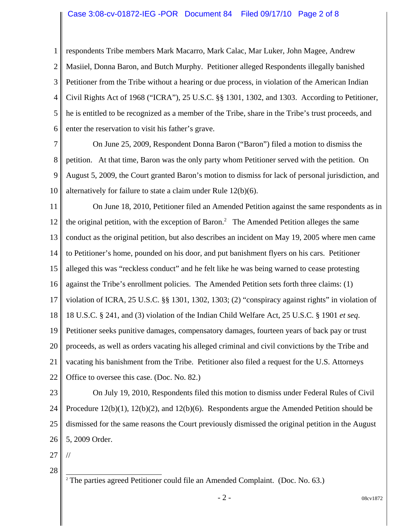## Case 3:08-cv-01872-IEG -POR Document 84 Filed 09/17/10 Page 2 of 8

1 2 3 4 5 6 respondents Tribe members Mark Macarro, Mark Calac, Mar Luker, John Magee, Andrew Masiiel, Donna Baron, and Butch Murphy. Petitioner alleged Respondents illegally banished Petitioner from the Tribe without a hearing or due process, in violation of the American Indian Civil Rights Act of 1968 ("ICRA"), 25 U.S.C. §§ 1301, 1302, and 1303. According to Petitioner, he is entitled to be recognized as a member of the Tribe, share in the Tribe's trust proceeds, and enter the reservation to visit his father's grave.

7 8 9 10 On June 25, 2009, Respondent Donna Baron ("Baron") filed a motion to dismiss the petition. At that time, Baron was the only party whom Petitioner served with the petition. On August 5, 2009, the Court granted Baron's motion to dismiss for lack of personal jurisdiction, and alternatively for failure to state a claim under Rule 12(b)(6).

11 12 13 14 15 16 17 18 19 20 21 22 On June 18, 2010, Petitioner filed an Amended Petition against the same respondents as in the original petition, with the exception of Baron.<sup>2</sup> The Amended Petition alleges the same conduct as the original petition, but also describes an incident on May 19, 2005 where men came to Petitioner's home, pounded on his door, and put banishment flyers on his cars. Petitioner alleged this was "reckless conduct" and he felt like he was being warned to cease protesting against the Tribe's enrollment policies. The Amended Petition sets forth three claims: (1) violation of ICRA, 25 U.S.C. §§ 1301, 1302, 1303; (2) "conspiracy against rights" in violation of 18 U.S.C. § 241, and (3) violation of the Indian Child Welfare Act, 25 U.S.C. § 1901 *et seq*. Petitioner seeks punitive damages, compensatory damages, fourteen years of back pay or trust proceeds, as well as orders vacating his alleged criminal and civil convictions by the Tribe and vacating his banishment from the Tribe. Petitioner also filed a request for the U.S. Attorneys Office to oversee this case. (Doc. No. 82.)

23 24 25 26 On July 19, 2010, Respondents filed this motion to dismiss under Federal Rules of Civil Procedure 12(b)(1), 12(b)(2), and 12(b)(6). Respondents argue the Amended Petition should be dismissed for the same reasons the Court previously dismissed the original petition in the August 5, 2009 Order.

27

//

28

 $2$  The parties agreed Petitioner could file an Amended Complaint. (Doc. No. 63.)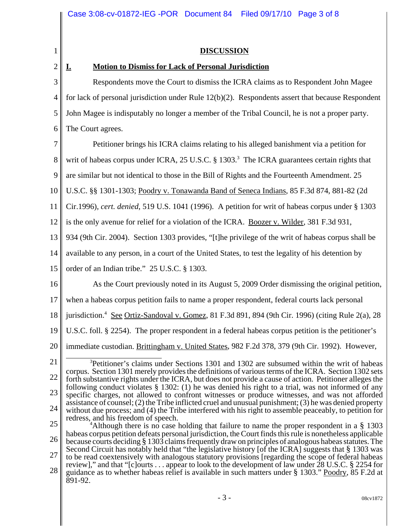| 1                                      | <b>DISCUSSION</b>                                                                                                                                                                                                                                                                                                                                                                                                                                                                                                                                                                                                                                                                                                                                                                                                                                                                                                                                                                                                                                                                                                                                                                                                                                                                                                                                |
|----------------------------------------|--------------------------------------------------------------------------------------------------------------------------------------------------------------------------------------------------------------------------------------------------------------------------------------------------------------------------------------------------------------------------------------------------------------------------------------------------------------------------------------------------------------------------------------------------------------------------------------------------------------------------------------------------------------------------------------------------------------------------------------------------------------------------------------------------------------------------------------------------------------------------------------------------------------------------------------------------------------------------------------------------------------------------------------------------------------------------------------------------------------------------------------------------------------------------------------------------------------------------------------------------------------------------------------------------------------------------------------------------|
| $\overline{2}$                         | <b>Motion to Dismiss for Lack of Personal Jurisdiction</b><br><u>I.</u>                                                                                                                                                                                                                                                                                                                                                                                                                                                                                                                                                                                                                                                                                                                                                                                                                                                                                                                                                                                                                                                                                                                                                                                                                                                                          |
| 3                                      | Respondents move the Court to dismiss the ICRA claims as to Respondent John Magee                                                                                                                                                                                                                                                                                                                                                                                                                                                                                                                                                                                                                                                                                                                                                                                                                                                                                                                                                                                                                                                                                                                                                                                                                                                                |
| $\overline{4}$                         | for lack of personal jurisdiction under Rule $12(b)(2)$ . Respondents assert that because Respondent                                                                                                                                                                                                                                                                                                                                                                                                                                                                                                                                                                                                                                                                                                                                                                                                                                                                                                                                                                                                                                                                                                                                                                                                                                             |
| 5                                      | John Magee is indisputably no longer a member of the Tribal Council, he is not a proper party.                                                                                                                                                                                                                                                                                                                                                                                                                                                                                                                                                                                                                                                                                                                                                                                                                                                                                                                                                                                                                                                                                                                                                                                                                                                   |
| 6                                      | The Court agrees.                                                                                                                                                                                                                                                                                                                                                                                                                                                                                                                                                                                                                                                                                                                                                                                                                                                                                                                                                                                                                                                                                                                                                                                                                                                                                                                                |
| 7                                      | Petitioner brings his ICRA claims relating to his alleged banishment via a petition for                                                                                                                                                                                                                                                                                                                                                                                                                                                                                                                                                                                                                                                                                                                                                                                                                                                                                                                                                                                                                                                                                                                                                                                                                                                          |
| 8                                      | writ of habeas corpus under ICRA, 25 U.S.C. § 1303. <sup>3</sup> The ICRA guarantees certain rights that                                                                                                                                                                                                                                                                                                                                                                                                                                                                                                                                                                                                                                                                                                                                                                                                                                                                                                                                                                                                                                                                                                                                                                                                                                         |
| 9                                      | are similar but not identical to those in the Bill of Rights and the Fourteenth Amendment. 25                                                                                                                                                                                                                                                                                                                                                                                                                                                                                                                                                                                                                                                                                                                                                                                                                                                                                                                                                                                                                                                                                                                                                                                                                                                    |
| 10                                     | U.S.C. §§ 1301-1303; Poodry v. Tonawanda Band of Seneca Indians, 85 F.3d 874, 881-82 (2d                                                                                                                                                                                                                                                                                                                                                                                                                                                                                                                                                                                                                                                                                                                                                                                                                                                                                                                                                                                                                                                                                                                                                                                                                                                         |
| 11                                     | Cir.1996), cert. denied, 519 U.S. 1041 (1996). A petition for writ of habeas corpus under § 1303                                                                                                                                                                                                                                                                                                                                                                                                                                                                                                                                                                                                                                                                                                                                                                                                                                                                                                                                                                                                                                                                                                                                                                                                                                                 |
| 12                                     | is the only avenue for relief for a violation of the ICRA. Boozer v. Wilder, 381 F.3d 931,                                                                                                                                                                                                                                                                                                                                                                                                                                                                                                                                                                                                                                                                                                                                                                                                                                                                                                                                                                                                                                                                                                                                                                                                                                                       |
| 13                                     | 934 (9th Cir. 2004). Section 1303 provides, "[t]he privilege of the writ of habeas corpus shall be                                                                                                                                                                                                                                                                                                                                                                                                                                                                                                                                                                                                                                                                                                                                                                                                                                                                                                                                                                                                                                                                                                                                                                                                                                               |
| 14                                     | available to any person, in a court of the United States, to test the legality of his detention by                                                                                                                                                                                                                                                                                                                                                                                                                                                                                                                                                                                                                                                                                                                                                                                                                                                                                                                                                                                                                                                                                                                                                                                                                                               |
| 15                                     | order of an Indian tribe." 25 U.S.C. § 1303.                                                                                                                                                                                                                                                                                                                                                                                                                                                                                                                                                                                                                                                                                                                                                                                                                                                                                                                                                                                                                                                                                                                                                                                                                                                                                                     |
| 16                                     | As the Court previously noted in its August 5, 2009 Order dismissing the original petition,                                                                                                                                                                                                                                                                                                                                                                                                                                                                                                                                                                                                                                                                                                                                                                                                                                                                                                                                                                                                                                                                                                                                                                                                                                                      |
| 17                                     | when a habeas corpus petition fails to name a proper respondent, federal courts lack personal                                                                                                                                                                                                                                                                                                                                                                                                                                                                                                                                                                                                                                                                                                                                                                                                                                                                                                                                                                                                                                                                                                                                                                                                                                                    |
| 18                                     | jurisdiction. <sup>4</sup> See Ortiz-Sandoval v. Gomez, 81 F.3d 891, 894 (9th Cir. 1996) (citing Rule 2(a), 28                                                                                                                                                                                                                                                                                                                                                                                                                                                                                                                                                                                                                                                                                                                                                                                                                                                                                                                                                                                                                                                                                                                                                                                                                                   |
| 19                                     | U.S.C. foll. § 2254). The proper respondent in a federal habeas corpus petition is the petitioner's                                                                                                                                                                                                                                                                                                                                                                                                                                                                                                                                                                                                                                                                                                                                                                                                                                                                                                                                                                                                                                                                                                                                                                                                                                              |
| 20                                     | immediate custodian. Brittingham v. United States, 982 F.2d 378, 379 (9th Cir. 1992). However,                                                                                                                                                                                                                                                                                                                                                                                                                                                                                                                                                                                                                                                                                                                                                                                                                                                                                                                                                                                                                                                                                                                                                                                                                                                   |
| 21<br>22<br>23<br>24<br>25<br>26<br>27 | <sup>3</sup> Petitioner's claims under Sections 1301 and 1302 are subsumed within the writ of habeas<br>corpus. Section 1301 merely provides the definitions of various terms of the ICRA. Section 1302 sets<br>forth substantive rights under the ICRA, but does not provide a cause of action. Petitioner alleges the<br>following conduct violates $\S$ 1302: (1) he was denied his right to a trial, was not informed of any<br>specific charges, not allowed to confront witnesses or produce witnesses, and was not afforded<br>assistance of counsel; (2) the Tribe inflicted cruel and unusual punishment; (3) he was denied property<br>without due process; and (4) the Tribe interfered with his right to assemble peaceably, to petition for<br>redress, and his freedom of speech.<br><sup>4</sup> Although there is no case holding that failure to name the proper respondent in a $\S$ 1303<br>habeas corpus petition defeats personal jurisdiction, the Court finds this rule is nonetheless applicable<br>because courts deciding § 1303 claims frequently draw on principles of analogous habeas statutes. The<br>Second Circuit has notably held that "the legislative history [of the ICRA] suggests that § 1303 was<br>to be read coextensively with analogous statutory provisions [regarding the scope of federal habeas |
| 28                                     | review]," and that "[c]ourts appear to look to the development of law under 28 U.S.C. § 2254 for<br>guidance as to whether habeas relief is available in such matters under § 1303." Poodry, 85 F.2d at<br>891-92.                                                                                                                                                                                                                                                                                                                                                                                                                                                                                                                                                                                                                                                                                                                                                                                                                                                                                                                                                                                                                                                                                                                               |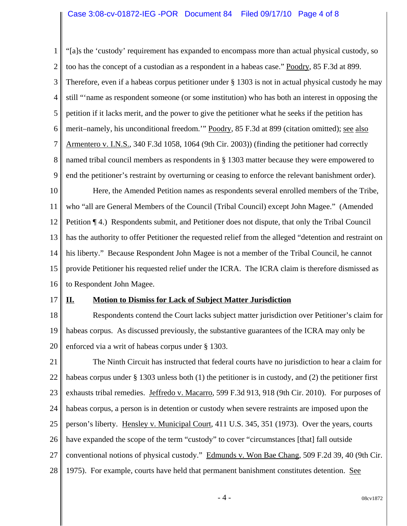## Case 3:08-cv-01872-IEG -POR Document 84 Filed 09/17/10 Page 4 of 8

1 2 3 4 5 6 7 8 9 "[a]s the 'custody' requirement has expanded to encompass more than actual physical custody, so too has the concept of a custodian as a respondent in a habeas case." Poodry, 85 F.3d at 899. Therefore, even if a habeas corpus petitioner under § 1303 is not in actual physical custody he may still "'name as respondent someone (or some institution) who has both an interest in opposing the petition if it lacks merit, and the power to give the petitioner what he seeks if the petition has merit–namely, his unconditional freedom.'" Poodry, 85 F.3d at 899 (citation omitted); see also Armentero v. I.N.S., 340 F.3d 1058, 1064 (9th Cir. 2003)) (finding the petitioner had correctly named tribal council members as respondents in § 1303 matter because they were empowered to end the petitioner's restraint by overturning or ceasing to enforce the relevant banishment order).

10 11 12 13 14 15 16 Here, the Amended Petition names as respondents several enrolled members of the Tribe, who "all are General Members of the Council (Tribal Council) except John Magee." (Amended Petition ¶ 4.) Respondents submit, and Petitioner does not dispute, that only the Tribal Council has the authority to offer Petitioner the requested relief from the alleged "detention and restraint on his liberty." Because Respondent John Magee is not a member of the Tribal Council, he cannot provide Petitioner his requested relief under the ICRA. The ICRA claim is therefore dismissed as to Respondent John Magee.

17

## **II. Motion to Dismiss for Lack of Subject Matter Jurisdiction**

18 19 20 Respondents contend the Court lacks subject matter jurisdiction over Petitioner's claim for habeas corpus. As discussed previously, the substantive guarantees of the ICRA may only be enforced via a writ of habeas corpus under § 1303.

21 22 23 24 25 26 27 28 The Ninth Circuit has instructed that federal courts have no jurisdiction to hear a claim for habeas corpus under § 1303 unless both (1) the petitioner is in custody, and (2) the petitioner first exhausts tribal remedies. Jeffredo v. Macarro, 599 F.3d 913, 918 (9th Cir. 2010). For purposes of habeas corpus, a person is in detention or custody when severe restraints are imposed upon the person's liberty. Hensley v. Municipal Court, 411 U.S. 345, 351 (1973). Over the years, courts have expanded the scope of the term "custody" to cover "circumstances [that] fall outside conventional notions of physical custody." Edmunds v. Won Bae Chang, 509 F.2d 39, 40 (9th Cir. 1975). For example, courts have held that permanent banishment constitutes detention. See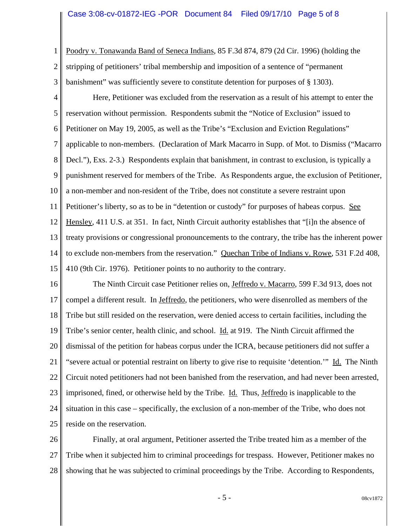1 2 3 Poodry v. Tonawanda Band of Seneca Indians, 85 F.3d 874, 879 (2d Cir. 1996) (holding the stripping of petitioners' tribal membership and imposition of a sentence of "permanent banishment" was sufficiently severe to constitute detention for purposes of § 1303).

4 5 6 7 8 9 10 11 12 13 14 15 Here, Petitioner was excluded from the reservation as a result of his attempt to enter the reservation without permission. Respondents submit the "Notice of Exclusion" issued to Petitioner on May 19, 2005, as well as the Tribe's "Exclusion and Eviction Regulations" applicable to non-members. (Declaration of Mark Macarro in Supp. of Mot. to Dismiss ("Macarro Decl."), Exs. 2-3.) Respondents explain that banishment, in contrast to exclusion, is typically a punishment reserved for members of the Tribe. As Respondents argue, the exclusion of Petitioner, a non-member and non-resident of the Tribe, does not constitute a severe restraint upon Petitioner's liberty, so as to be in "detention or custody" for purposes of habeas corpus. See Hensley, 411 U.S. at 351. In fact, Ninth Circuit authority establishes that "[i]n the absence of treaty provisions or congressional pronouncements to the contrary, the tribe has the inherent power to exclude non-members from the reservation." Quechan Tribe of Indians v. Rowe, 531 F.2d 408, 410 (9th Cir. 1976). Petitioner points to no authority to the contrary.

16 17 18 19 20 21 22 23 24 25 The Ninth Circuit case Petitioner relies on, *Jeffredo v. Macarro*, 599 F.3d 913, does not compel a different result. In Jeffredo, the petitioners, who were disenrolled as members of the Tribe but still resided on the reservation, were denied access to certain facilities, including the Tribe's senior center, health clinic, and school. Id. at 919. The Ninth Circuit affirmed the dismissal of the petition for habeas corpus under the ICRA, because petitioners did not suffer a "severe actual or potential restraint on liberty to give rise to requisite 'detention.'" Id. The Ninth Circuit noted petitioners had not been banished from the reservation, and had never been arrested, imprisoned, fined, or otherwise held by the Tribe. Id. Thus, Jeffredo is inapplicable to the situation in this case – specifically, the exclusion of a non-member of the Tribe, who does not reside on the reservation.

26 27 28 Finally, at oral argument, Petitioner asserted the Tribe treated him as a member of the Tribe when it subjected him to criminal proceedings for trespass. However, Petitioner makes no showing that he was subjected to criminal proceedings by the Tribe. According to Respondents,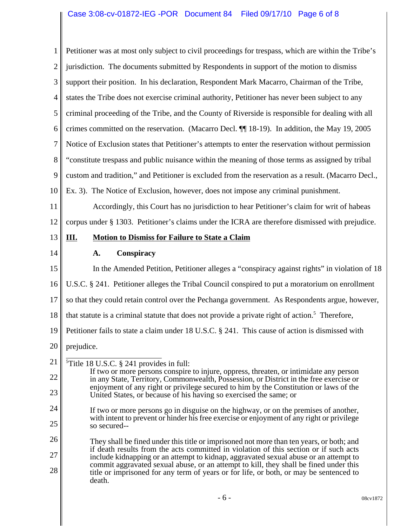# Case 3:08-cv-01872-IEG -POR Document 84 Filed 09/17/10 Page 6 of 8

1 2 3 4 5 6 7 8 9 10 11 12 13 14 15 16 17 18 19 20 21 22 23 24 25 26 27 28 5 Title 18 U.S.C. § 241 provides in full: If two or more persons conspire to injure, oppress, threaten, or intimidate any person in any State, Territory, Commonwealth, Possession, or District in the free exercise or enjoyment of any right or privilege secured to him by the Constitution or laws of the United States, or because of his having so exercised the same; or If two or more persons go in disguise on the highway, or on the premises of another, with intent to prevent or hinder his free exercise or enjoyment of any right or privilege so secured-- They shall be fined under this title or imprisoned not more than ten years, or both; and if death results from the acts committed in violation of this section or if such acts include kidnapping or an attempt to kidnap, aggravated sexual abuse or an attempt to commit aggravated sexual abuse, or an attempt to kill, they shall be fined under this title or imprisoned for any term of years or for life, or both, or may be sentenced to death. Petitioner was at most only subject to civil proceedings for trespass, which are within the Tribe's jurisdiction. The documents submitted by Respondents in support of the motion to dismiss support their position. In his declaration, Respondent Mark Macarro, Chairman of the Tribe, states the Tribe does not exercise criminal authority, Petitioner has never been subject to any criminal proceeding of the Tribe, and the County of Riverside is responsible for dealing with all crimes committed on the reservation. (Macarro Decl. ¶¶ 18-19). In addition, the May 19, 2005 Notice of Exclusion states that Petitioner's attempts to enter the reservation without permission "constitute trespass and public nuisance within the meaning of those terms as assigned by tribal custom and tradition," and Petitioner is excluded from the reservation as a result. (Macarro Decl., Ex. 3). The Notice of Exclusion, however, does not impose any criminal punishment. Accordingly, this Court has no jurisdiction to hear Petitioner's claim for writ of habeas corpus under § 1303. Petitioner's claims under the ICRA are therefore dismissed with prejudice. **III. Motion to Dismiss for Failure to State a Claim A. Conspiracy** In the Amended Petition, Petitioner alleges a "conspiracy against rights" in violation of 18 U.S.C. § 241. Petitioner alleges the Tribal Council conspired to put a moratorium on enrollment so that they could retain control over the Pechanga government. As Respondents argue, however, that statute is a criminal statute that does not provide a private right of action.<sup>5</sup> Therefore, Petitioner fails to state a claim under 18 U.S.C. § 241. This cause of action is dismissed with prejudice.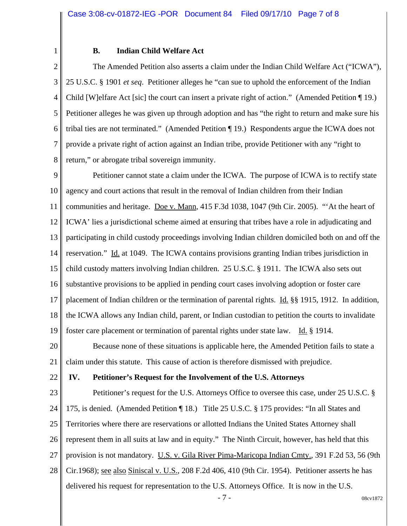## **B. Indian Child Welfare Act**

2 3 4 5 6 7 8 The Amended Petition also asserts a claim under the Indian Child Welfare Act ("ICWA"), 25 U.S.C. § 1901 *et seq*. Petitioner alleges he "can sue to uphold the enforcement of the Indian Child [W]elfare Act [sic] the court can insert a private right of action." (Amended Petition ¶ 19.) Petitioner alleges he was given up through adoption and has "the right to return and make sure his tribal ties are not terminated." (Amended Petition ¶ 19.) Respondents argue the ICWA does not provide a private right of action against an Indian tribe, provide Petitioner with any "right to return," or abrogate tribal sovereign immunity.

9 10 11 12 13 14 15 16 17 18 19 Petitioner cannot state a claim under the ICWA. The purpose of ICWA is to rectify state agency and court actions that result in the removal of Indian children from their Indian communities and heritage. Doe v. Mann, 415 F.3d 1038, 1047 (9th Cir. 2005). "'At the heart of ICWA' lies a jurisdictional scheme aimed at ensuring that tribes have a role in adjudicating and participating in child custody proceedings involving Indian children domiciled both on and off the reservation." Id. at 1049. The ICWA contains provisions granting Indian tribes jurisdiction in child custody matters involving Indian children. 25 U.S.C. § 1911. The ICWA also sets out substantive provisions to be applied in pending court cases involving adoption or foster care placement of Indian children or the termination of parental rights. Id. §§ 1915, 1912. In addition, the ICWA allows any Indian child, parent, or Indian custodian to petition the courts to invalidate foster care placement or termination of parental rights under state law. Id. § 1914.

20 21 Because none of these situations is applicable here, the Amended Petition fails to state a claim under this statute. This cause of action is therefore dismissed with prejudice.

22

1

## **IV. Petitioner's Request for the Involvement of the U.S. Attorneys**

23 24 25 26 27 28 Petitioner's request for the U.S. Attorneys Office to oversee this case, under 25 U.S.C. § 175, is denied. (Amended Petition ¶ 18.) Title 25 U.S.C. § 175 provides: "In all States and Territories where there are reservations or allotted Indians the United States Attorney shall represent them in all suits at law and in equity." The Ninth Circuit, however, has held that this provision is not mandatory. U.S. v. Gila River Pima-Maricopa Indian Cmty., 391 F.2d 53, 56 (9th Cir.1968); see also Siniscal v. U.S., 208 F.2d 406, 410 (9th Cir. 1954). Petitioner asserts he has delivered his request for representation to the U.S. Attorneys Office. It is now in the U.S.